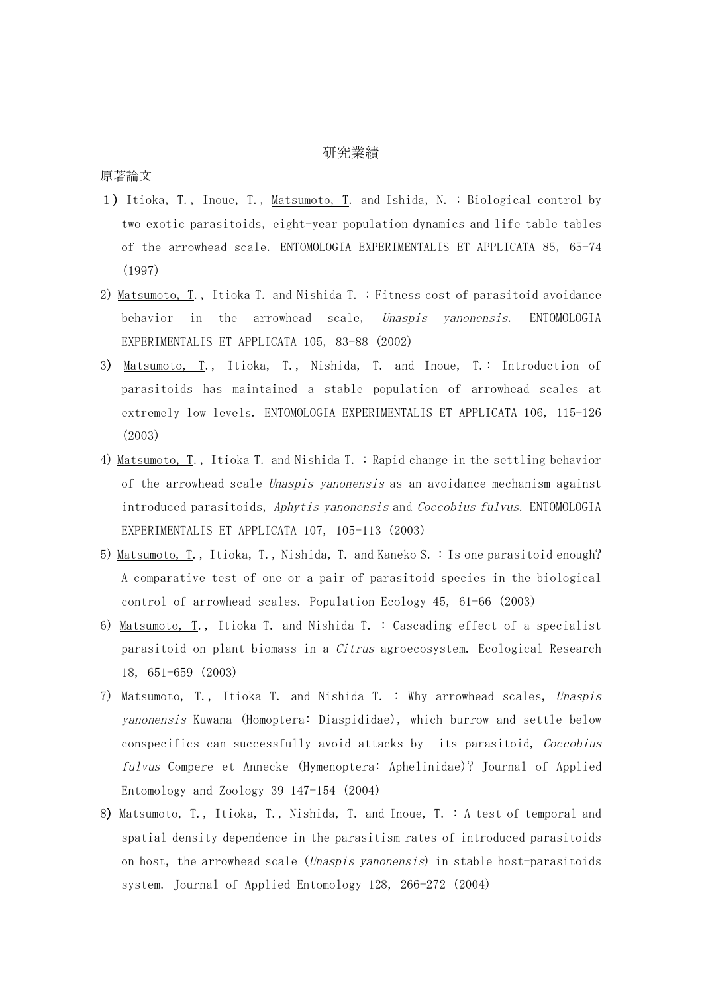## 研究業績

原著論文

- 1) Itioka, T., Inoue, T., Matsumoto, T. and Ishida, N. : Biological control by two exotic parasitoids, eight-year population dynamics and life table tables of the arrowhead scale. ENTOMOLOGIA EXPERIMENTALIS ET APPLICATA 85, 65-74 (1997)
- 2) Matsumoto, T., Itioka T. and Nishida T. : Fitness cost of parasitoid avoidance behavior in the arrowhead scale, Unaspis yanonensis. ENTOMOLOGIA EXPERIMENTALIS ET APPLICATA 105, 83-88 (2002)
- 3) Matsumoto, T., Itioka, T., Nishida, T. and Inoue, T.: Introduction of parasitoids has maintained a stable population of arrowhead scales at extremely low levels. ENTOMOLOGIA EXPERIMENTALIS ET APPLICATA 106, 115-126 (2003)
- 4) Matsumoto, T., Itioka T. and Nishida T. : Rapid change in the settling behavior of the arrowhead scale Unaspis yanonensis as an avoidance mechanism against introduced parasitoids, Aphytis yanonensis and Coccobius fulvus. ENTOMOLOGIA EXPERIMENTALIS ET APPLICATA 107, 105-113 (2003)
- 5) Matsumoto, T., Itioka, T., Nishida, T. and Kaneko S. : Is one parasitoid enough? A comparative test of one or a pair of parasitoid species in the biological control of arrowhead scales. Population Ecology 45, 61-66 (2003)
- 6) Matsumoto, T., Itioka T. and Nishida T. : Cascading effect of a specialist parasitoid on plant biomass in a Citrus agroecosystem. Ecological Research 18, 651-659 (2003)
- 7) Matsumoto, T., Itioka T. and Nishida T. : Why arrowhead scales, Unaspis yanonensis Kuwana (Homoptera: Diaspididae), which burrow and settle below conspecifics can successfully avoid attacks by its parasitoid, Coccobius fulvus Compere et Annecke (Hymenoptera: Aphelinidae)? Journal of Applied Entomology and Zoology 39 147-154 (2004)
- 8) Matsumoto, T., Itioka, T., Nishida, T. and Inoue, T. : A test of temporal and spatial density dependence in the parasitism rates of introduced parasitoids on host, the arrowhead scale (*Unaspis yanonensis*) in stable host-parasitoids system. Journal of Applied Entomology 128, 266-272 (2004)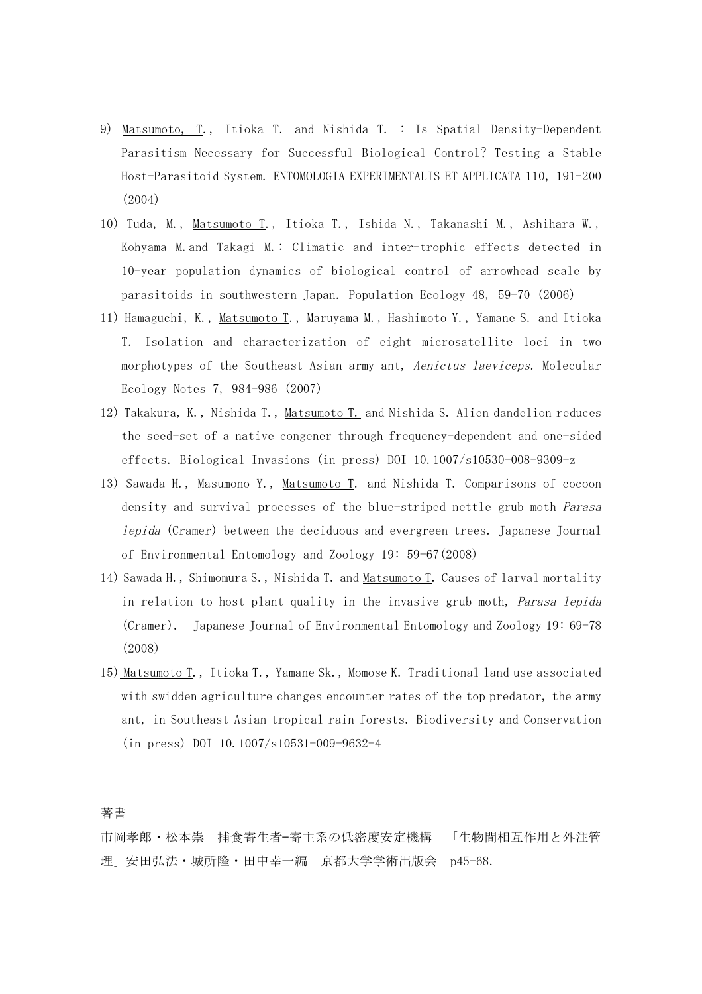- 9) Matsumoto, T., Itioka T. and Nishida T. : Is Spatial Density-Dependent Parasitism Necessary for Successful Biological Control? Testing a Stable Host-Parasitoid System. ENTOMOLOGIA EXPERIMENTALIS ET APPLICATA 110, 191-200 (2004)
- 10) Tuda, M., Matsumoto T., Itioka T., Ishida N., Takanashi M., Ashihara W., Kohyama M.and Takagi M.: Climatic and inter-trophic effects detected in 10-year population dynamics of biological control of arrowhead scale by parasitoids in southwestern Japan. Population Ecology 48, 59-70 (2006)
- 11) Hamaguchi, K., Matsumoto T., Maruyama M., Hashimoto Y., Yamane S. and Itioka T. Isolation and characterization of eight microsatellite loci in two morphotypes of the Southeast Asian army ant, Aenictus laeviceps. Molecular Ecology Notes 7, 984-986 (2007)
- 12) Takakura, K., Nishida T., Matsumoto T. and Nishida S. Alien dandelion reduces the seed-set of a native congener through frequency-dependent and one-sided effects. Biological Invasions (in press) DOI 10.1007/s10530-008-9309-z
- 13) Sawada H., Masumono Y., Matsumoto T. and Nishida T. Comparisons of cocoon density and survival processes of the blue-striped nettle grub moth Parasa lepida (Cramer) between the deciduous and evergreen trees. Japanese Journal of Environmental Entomology and Zoology 19: 59-67(2008)
- 14) Sawada H., Shimomura S., Nishida T. and Matsumoto T. Causes of larval mortality in relation to host plant quality in the invasive grub moth, *Parasa lepida* (Cramer). Japanese Journal of Environmental Entomology and Zoology 19: 69-78 (2008)
- 15) Matsumoto T., Itioka T., Yamane Sk., Momose K. Traditional land use associated with swidden agriculture changes encounter rates of the top predator, the army ant, in Southeast Asian tropical rain forests. Biodiversity and Conservation (in press) DOI 10.1007/s10531-009-9632-4

著書

市岡孝郎・松本崇 捕食寄生者–寄主系の低密度安定機構 「生物間相互作用と外注管 理」安田弘法·城所隆·田中幸一編 京都大学学術出版会 p45-68.